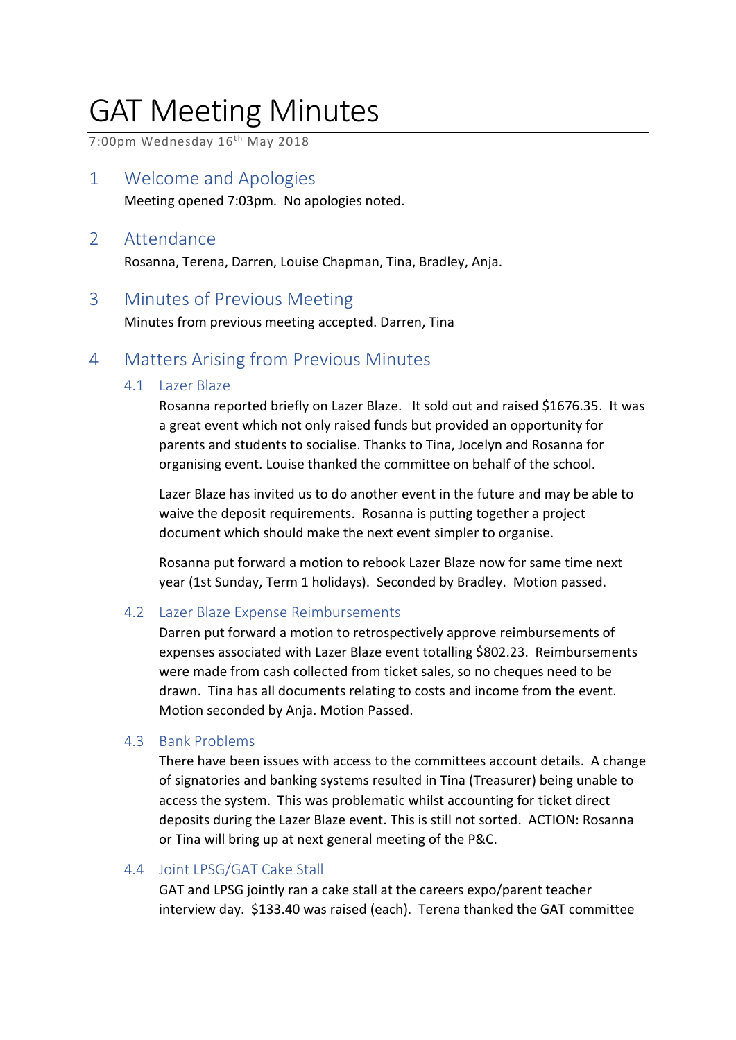# GAT Meeting Minutes

7:00pm Wednesday 16<sup>th</sup> May 2018

1 Welcome and Apologies

Meeting opened 7:03pm. No apologies noted.

# 2 Attendance

Rosanna, Terena, Darren, Louise Chapman, Tina, Bradley, Anja.

## 3 Minutes of Previous Meeting

Minutes from previous meeting accepted. Darren, Tina

# 4 Matters Arising from Previous Minutes

## 4.1 Lazer Blaze

Rosanna reported briefly on Lazer Blaze. It sold out and raised \$1676.35. It was a great event which not only raised funds but provided an opportunity for parents and students to socialise. Thanks to Tina, Jocelyn and Rosanna for organising event. Louise thanked the committee on behalf of the school.

Lazer Blaze has invited us to do another event in the future and may be able to waive the deposit requirements. Rosanna is putting together a project document which should make the next event simpler to organise.

Rosanna put forward a motion to rebook Lazer Blaze now for same time next year (1st Sunday, Term 1 holidays). Seconded by Bradley. Motion passed.

## 4.2 Lazer Blaze Expense Reimbursements

Darren put forward a motion to retrospectively approve reimbursements of expenses associated with Lazer Blaze event totalling \$802.23. Reimbursements were made from cash collected from ticket sales, so no cheques need to be drawn. Tina has all documents relating to costs and income from the event. Motion seconded by Anja. Motion Passed.

## 4.3 Bank Problems

There have been issues with access to the committees account details. A change of signatories and banking systems resulted in Tina (Treasurer) being unable to access the system. This was problematic whilst accounting for ticket direct deposits during the Lazer Blaze event. This is still not sorted. ACTION: Rosanna or Tina will bring up at next general meeting of the P&C.

## 4.4 Joint LPSG/GAT Cake Stall

GAT and LPSG jointly ran a cake stall at the careers expo/parent teacher interview day. \$133.40 was raised (each). Terena thanked the GAT committee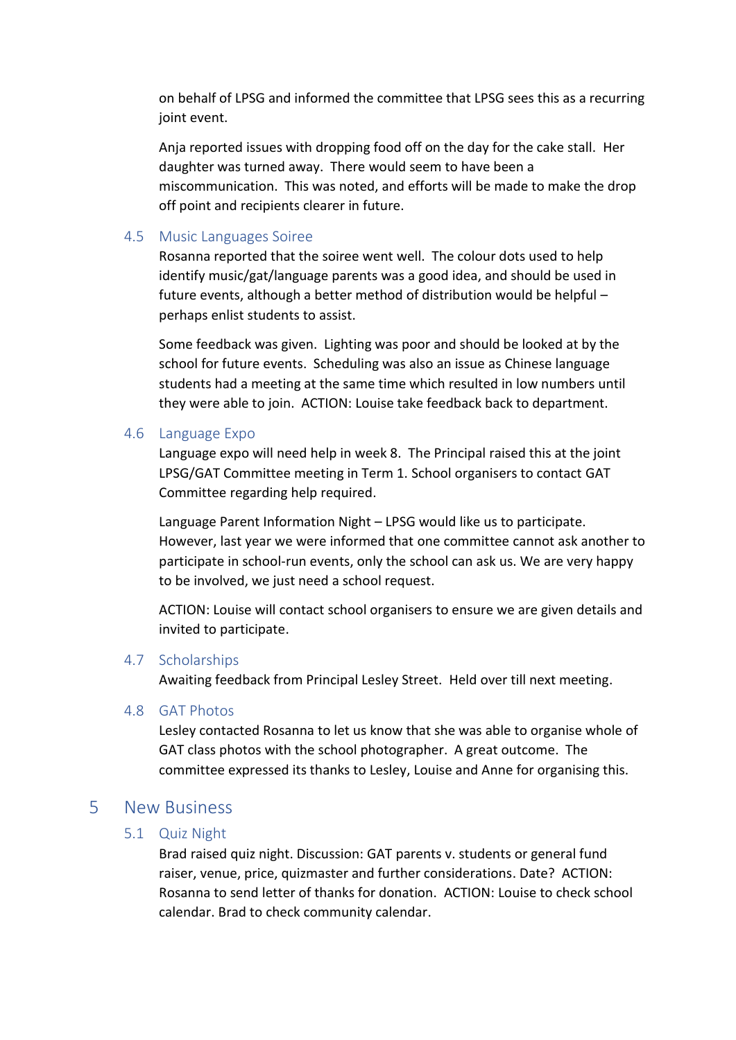on behalf of LPSG and informed the committee that LPSG sees this as a recurring joint event.

Anja reported issues with dropping food off on the day for the cake stall. Her daughter was turned away. There would seem to have been a miscommunication. This was noted, and efforts will be made to make the drop off point and recipients clearer in future.

## 4.5 Music Languages Soiree

Rosanna reported that the soiree went well. The colour dots used to help identify music/gat/language parents was a good idea, and should be used in future events, although a better method of distribution would be helpful – perhaps enlist students to assist.

Some feedback was given. Lighting was poor and should be looked at by the school for future events. Scheduling was also an issue as Chinese language students had a meeting at the same time which resulted in low numbers until they were able to join. ACTION: Louise take feedback back to department.

### 4.6 Language Expo

Language expo will need help in week 8. The Principal raised this at the joint LPSG/GAT Committee meeting in Term 1. School organisers to contact GAT Committee regarding help required.

Language Parent Information Night – LPSG would like us to participate. However, last year we were informed that one committee cannot ask another to participate in school-run events, only the school can ask us. We are very happy to be involved, we just need a school request.

ACTION: Louise will contact school organisers to ensure we are given details and invited to participate.

### 4.7 Scholarships

Awaiting feedback from Principal Lesley Street. Held over till next meeting.

### 4.8 GAT Photos

Lesley contacted Rosanna to let us know that she was able to organise whole of GAT class photos with the school photographer. A great outcome. The committee expressed its thanks to Lesley, Louise and Anne for organising this.

## 5 New Business

### 5.1 Quiz Night

Brad raised quiz night. Discussion: GAT parents v. students or general fund raiser, venue, price, quizmaster and further considerations. Date? ACTION: Rosanna to send letter of thanks for donation. ACTION: Louise to check school calendar. Brad to check community calendar.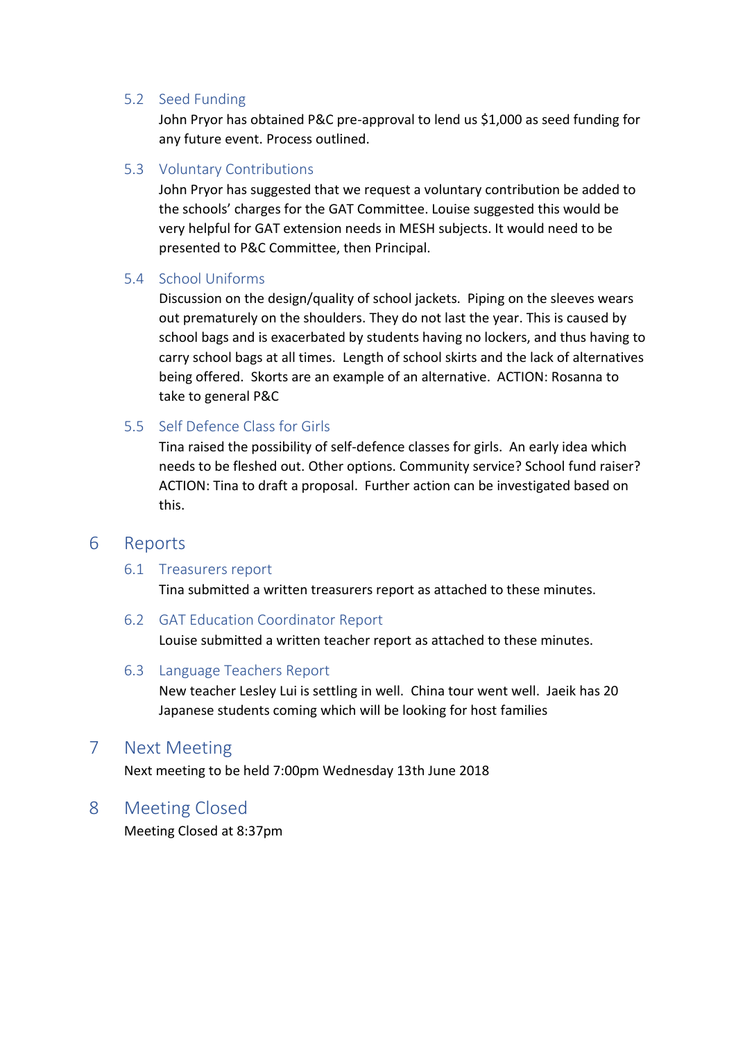### 5.2 Seed Funding

John Pryor has obtained P&C pre-approval to lend us \$1,000 as seed funding for any future event. Process outlined.

## 5.3 Voluntary Contributions

John Pryor has suggested that we request a voluntary contribution be added to the schools' charges for the GAT Committee. Louise suggested this would be very helpful for GAT extension needs in MESH subjects. It would need to be presented to P&C Committee, then Principal.

### 5.4 School Uniforms

Discussion on the design/quality of school jackets. Piping on the sleeves wears out prematurely on the shoulders. They do not last the year. This is caused by school bags and is exacerbated by students having no lockers, and thus having to carry school bags at all times. Length of school skirts and the lack of alternatives being offered. Skorts are an example of an alternative. ACTION: Rosanna to take to general P&C

## 5.5 Self Defence Class for Girls

Tina raised the possibility of self-defence classes for girls. An early idea which needs to be fleshed out. Other options. Community service? School fund raiser? ACTION: Tina to draft a proposal. Further action can be investigated based on this.

## 6 Reports

### 6.1 Treasurers report

Tina submitted a written treasurers report as attached to these minutes.

### 6.2 GAT Education Coordinator Report

Louise submitted a written teacher report as attached to these minutes.

### 6.3 Language Teachers Report

New teacher Lesley Lui is settling in well. China tour went well. Jaeik has 20 Japanese students coming which will be looking for host families

## 7 Next Meeting

Next meeting to be held 7:00pm Wednesday 13th June 2018

## 8 Meeting Closed

Meeting Closed at 8:37pm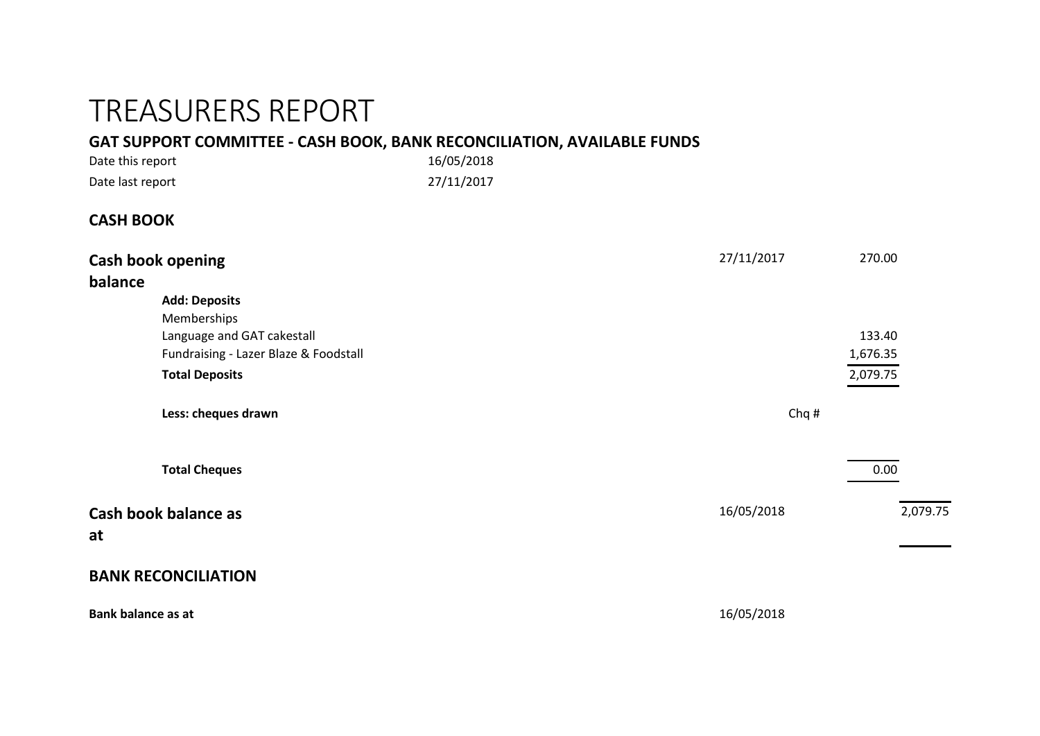# TREASURERS REPORT

# **GAT SUPPORT COMMITTEE - CASH BOOK, BANK RECONCILIATION, AVAILABLE FUNDS**

| Date this report | 16/05/2018 |
|------------------|------------|
| Date last report | 27/11/2017 |

# **CASH BOOK**

| Cash book opening<br>balance                                                                                                        | 27/11/2017<br>270.00           |  |
|-------------------------------------------------------------------------------------------------------------------------------------|--------------------------------|--|
| <b>Add: Deposits</b><br>Memberships<br>Language and GAT cakestall<br>Fundraising - Lazer Blaze & Foodstall<br><b>Total Deposits</b> | 133.40<br>1,676.35<br>2,079.75 |  |
| Less: cheques drawn                                                                                                                 | Chq#                           |  |
| <b>Total Cheques</b>                                                                                                                | 0.00                           |  |
| Cash book balance as<br>at                                                                                                          | 16/05/2018<br>2,079.75         |  |
| <b>BANK RECONCILIATION</b>                                                                                                          |                                |  |
| <b>Bank balance as at</b>                                                                                                           | 16/05/2018                     |  |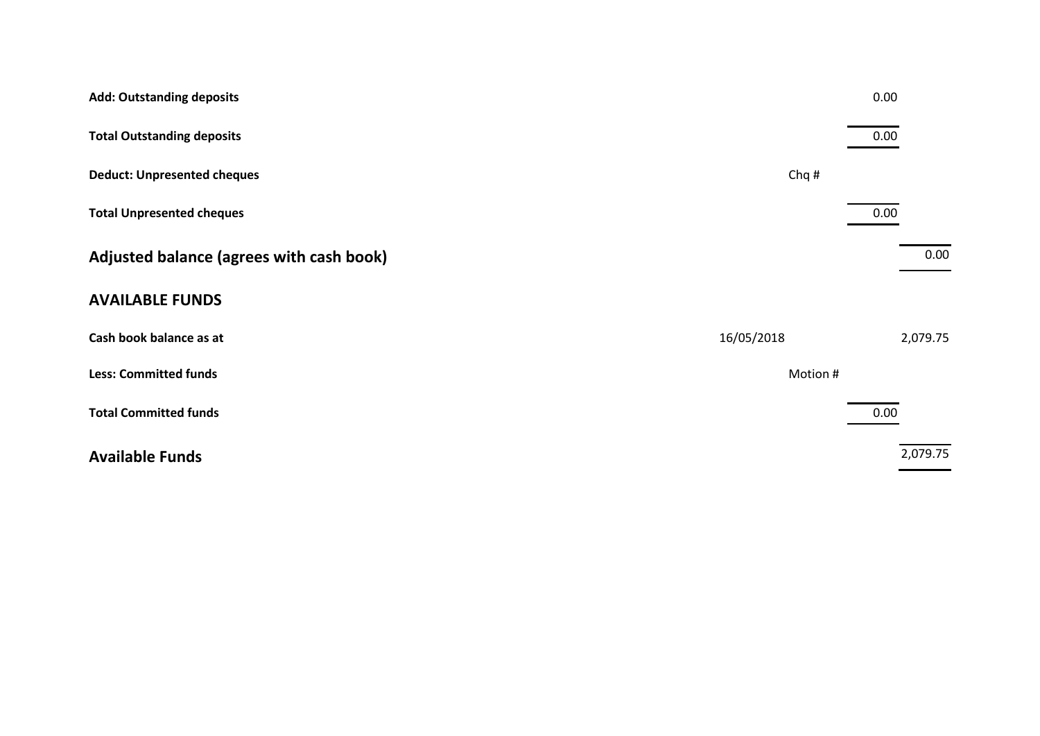| <b>Add: Outstanding deposits</b>         |            | 0.00     |
|------------------------------------------|------------|----------|
| <b>Total Outstanding deposits</b>        |            | 0.00     |
| <b>Deduct: Unpresented cheques</b>       | Chq#       |          |
| <b>Total Unpresented cheques</b>         |            | 0.00     |
| Adjusted balance (agrees with cash book) |            | 0.00     |
| <b>AVAILABLE FUNDS</b>                   |            |          |
| Cash book balance as at                  | 16/05/2018 | 2,079.75 |
| <b>Less: Committed funds</b>             | Motion #   |          |
| <b>Total Committed funds</b>             |            | 0.00     |
| <b>Available Funds</b>                   |            | 2,079.75 |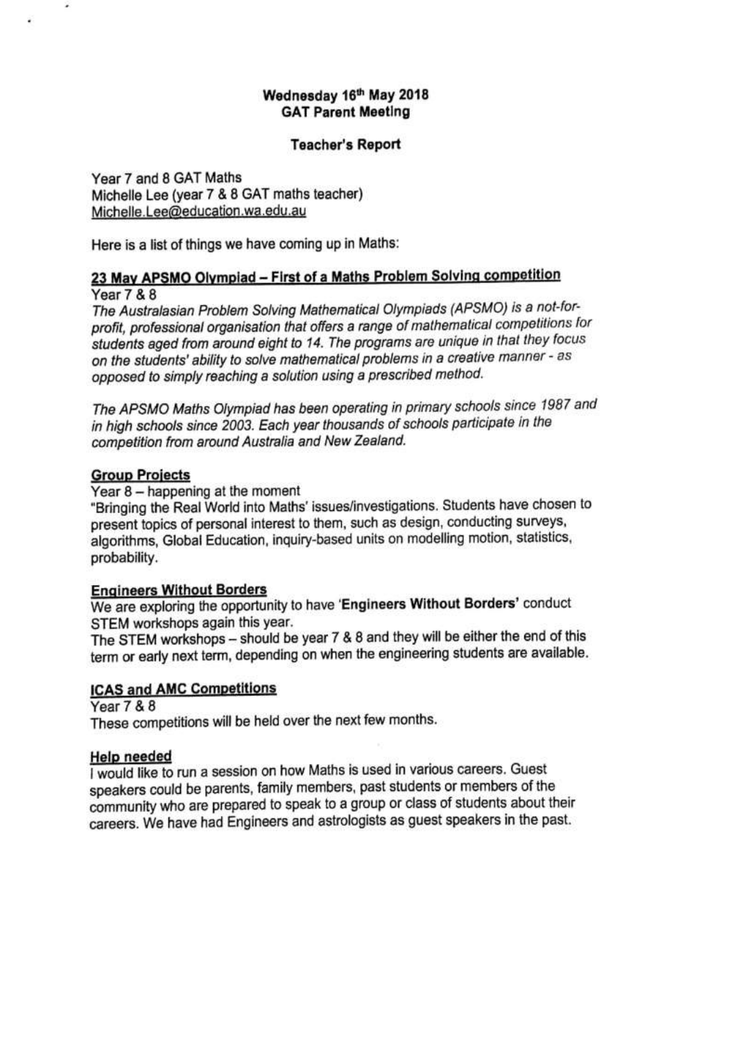### Wednesday 16th May 2018 **GAT Parent Meeting**

### **Teacher's Report**

Year 7 and 8 GAT Maths Michelle Lee (year 7 & 8 GAT maths teacher) Michelle.Lee@education.wa.edu.au

Here is a list of things we have coming up in Maths:

## 23 May APSMO Olympiad - First of a Maths Problem Solving competition

**Year 7 & 8** 

×,

The Australasian Problem Solving Mathematical Olympiads (APSMO) is a not-forprofit, professional organisation that offers a range of mathematical competitions for students aged from around eight to 14. The programs are unique in that they focus on the students' ability to solve mathematical problems in a creative manner - as opposed to simply reaching a solution using a prescribed method.

The APSMO Maths Olympiad has been operating in primary schools since 1987 and in high schools since 2003. Each year thousands of schools participate in the competition from around Australia and New Zealand.

### **Group Projects**

Year 8 - happening at the moment

"Bringing the Real World into Maths' issues/investigations. Students have chosen to present topics of personal interest to them, such as design, conducting surveys, algorithms, Global Education, inquiry-based units on modelling motion, statistics, probability.

### **Engineers Without Borders**

We are exploring the opportunity to have 'Engineers Without Borders' conduct STEM workshops again this year.

The STEM workshops - should be year 7 & 8 and they will be either the end of this term or early next term, depending on when the engineering students are available.

### **ICAS and AMC Competitions**

**Year 7 & 8** 

These competitions will be held over the next few months.

### **Help needed**

I would like to run a session on how Maths is used in various careers. Guest speakers could be parents, family members, past students or members of the community who are prepared to speak to a group or class of students about their careers. We have had Engineers and astrologists as guest speakers in the past.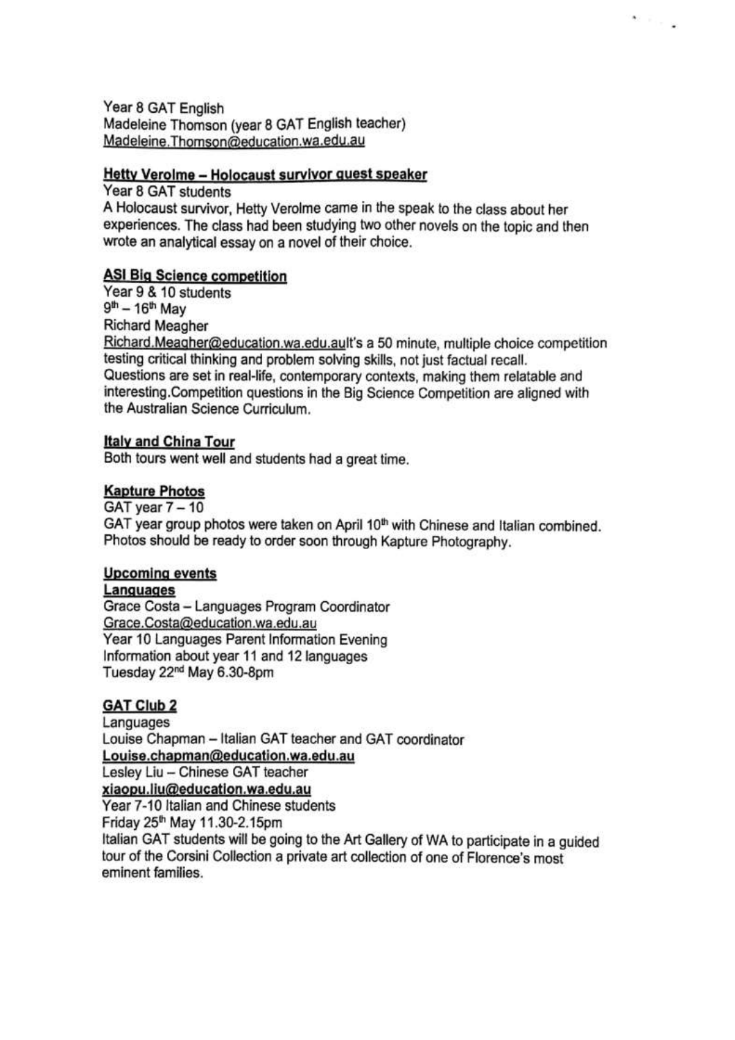Year 8 GAT English Madeleine Thomson (year 8 GAT English teacher) Madeleine.Thomson@education.wa.edu.au

### Hetty Verolme - Holocaust survivor quest speaker

Year 8 GAT students A Holocaust survivor, Hetty Verolme came in the speak to the class about her experiences. The class had been studying two other novels on the topic and then wrote an analytical essay on a novel of their choice.

\* Fred

## **ASI Big Science competition**

Year 9 & 10 students  $9^{th} - 16^{th}$  May **Richard Meagher** Richard.Meagher@education.wa.edu.ault's a 50 minute, multiple choice competition testing critical thinking and problem solving skills, not just factual recall. Questions are set in real-life, contemporary contexts, making them relatable and interesting.Competition questions in the Big Science Competition are aligned with the Australian Science Curriculum.

### **Italy and China Tour**

Both tours went well and students had a great time.

### **Kapture Photos**

GAT year 7 - 10 GAT year group photos were taken on April 10<sup>th</sup> with Chinese and Italian combined. Photos should be ready to order soon through Kapture Photography.

## **Upcoming events**

### Languages

Grace Costa - Languages Program Coordinator Grace.Costa@education.wa.edu.au Year 10 Languages Parent Information Evening Information about year 11 and 12 languages Tuesday 22<sup>nd</sup> May 6.30-8pm

## **GAT Club 2**

Languages Louise Chapman - Italian GAT teacher and GAT coordinator Louise.chapman@education.wa.edu.au Lesley Liu - Chinese GAT teacher xiaopu.liu@education.wa.edu.au Year 7-10 Italian and Chinese students Friday 25<sup>th</sup> May 11.30-2.15pm Italian GAT students will be going to the Art Gallery of WA to participate in a guided tour of the Corsini Collection a private art collection of one of Florence's most eminent families.